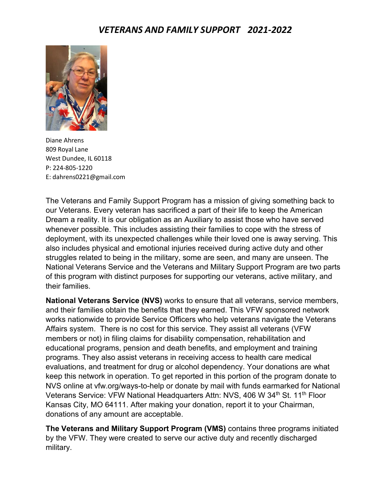

Diane Ahrens 809 Royal Lane West Dundee, IL 60118 P: 224-805-1220 E: [dahrens0221@gmail.com](mailto:dahrens0221@gmail.com)

The Veterans and Family Support Program has a mission of giving something back to our Veterans. Every veteran has sacrificed a part of their life to keep the American Dream a reality. It is our obligation as an Auxiliary to assist those who have served whenever possible. This includes assisting their families to cope with the stress of deployment, with its unexpected challenges while their loved one is away serving. This also includes physical and emotional injuries received during active duty and other struggles related to being in the military, some are seen, and many are unseen. The National Veterans Service and the Veterans and Military Support Program are two parts of this program with distinct purposes for supporting our veterans, active military, and their families.

**National Veterans Service (NVS)** works to ensure that all veterans, service members, and their families obtain the benefits that they earned. This VFW sponsored network works nationwide to provide Service Officers who help veterans navigate the Veterans Affairs system. There is no cost for this service. They assist all veterans (VFW members or not) in filing claims for disability compensation, rehabilitation and educational programs, pension and death benefits, and employment and training programs. They also assist veterans in receiving access to health care medical evaluations, and treatment for drug or alcohol dependency. Your donations are what keep this network in operation. To get reported in this portion of the program donate to NVS online at vfw.org/ways-to-help or donate by mail with funds earmarked for National Veterans Service: VFW National Headquarters Attn: NVS, 406 W 34<sup>th</sup> St. 11<sup>th</sup> Floor Kansas City, MO 64111. After making your donation, report it to your Chairman, donations of any amount are acceptable.

**The Veterans and Military Support Program (VMS)** contains three programs initiated by the VFW. They were created to serve our active duty and recently discharged military.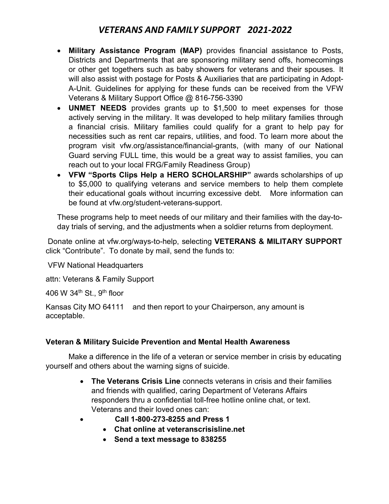- **Military Assistance Program (MAP)** provides financial assistance to Posts, Districts and Departments that are sponsoring military send offs, homecomings or other get togethers such as baby showers for veterans and their spouses. It will also assist with postage for Posts & Auxiliaries that are participating in Adopt-A-Unit. Guidelines for applying for these funds can be received from the VFW Veterans & Military Support Office @ 816-756-3390
- **UNMET NEEDS** provides grants up to \$1,500 to meet expenses for those actively serving in the military. It was developed to help military families through a financial crisis. Military families could qualify for a grant to help pay for necessities such as rent car repairs, utilities, and food. To learn more about the program visit vfw.org/assistance/financial-grants, (with many of our National Guard serving FULL time, this would be a great way to assist families, you can reach out to your local FRG/Family Readiness Group)
- **VFW "Sports Clips Help a HERO SCHOLARSHIP"** awards scholarships of up to \$5,000 to qualifying veterans and service members to help them complete their educational goals without incurring excessive debt. More information can be found at vfw.org/student-veterans-support.

These programs help to meet needs of our military and their families with the day-today trials of serving, and the adjustments when a soldier returns from deployment.

Donate online at vfw.org/ways-to-help, selecting **VETERANS & MILITARY SUPPORT** click "Contribute". To donate by mail, send the funds to:

VFW National Headquarters

attn: Veterans & Family Support

406 W  $34<sup>th</sup>$  St., 9<sup>th</sup> floor

Kansas City MO 64111 and then report to your Chairperson, any amount is acceptable.

#### **Veteran & Military Suicide Prevention and Mental Health Awareness**

Make a difference in the life of a veteran or service member in crisis by educating yourself and others about the warning signs of suicide.

- **The Veterans Crisis Line** connects veterans in crisis and their families and friends with qualified, caring Department of Veterans Affairs responders thru a confidential toll-free hotline online chat, or text. Veterans and their loved ones can:
- **Call 1-800-273-8255 and Press 1**
	- **Chat online at veteranscrisisline.net**
	- **Send a text message to 838255**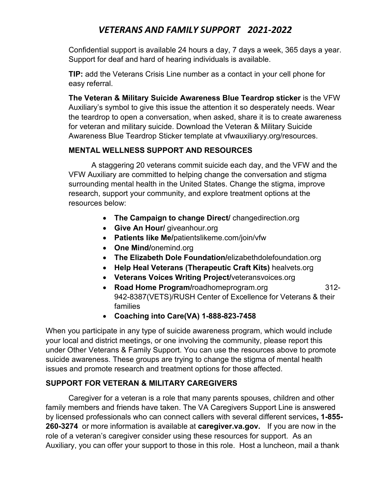Confidential support is available 24 hours a day, 7 days a week, 365 days a year. Support for deaf and hard of hearing individuals is available.

**TIP:** add the Veterans Crisis Line number as a contact in your cell phone for easy referral.

**The Veteran & Military Suicide Awareness Blue Teardrop sticker** is the VFW Auxiliary's symbol to give this issue the attention it so desperately needs. Wear the teardrop to open a conversation, when asked, share it is to create awareness for veteran and military suicide. Download the Veteran & Military Suicide Awareness Blue Teardrop Sticker template at vfwauxiliaryy.org/resources.

#### **MENTAL WELLNESS SUPPORT AND RESOURCES**

A staggering 20 veterans commit suicide each day, and the VFW and the VFW Auxiliary are committed to helping change the conversation and stigma surrounding mental health in the United States. Change the stigma, improve research, support your community, and explore treatment options at the resources below:

- **The Campaign to change Direct/** changedirection.org
- **Give An Hour/** giveanhour.org
- **Patients like Me/**patientslikeme.com/join/vfw
- **One Mind/**onemind.org
- **The Elizabeth Dole Foundation/**elizabethdolefoundation.org
- **Help Heal Veterans (Therapeutic Craft Kits)** healvets.org
- **Veterans Voices Writing Project/**veteransvoices.org
- **Road Home Program/**roadhomeprogram.org 312- 942-8387(VETS)/RUSH Center of Excellence for Veterans & their families
- **Coaching into Care(VA) 1-888-823-7458**

When you participate in any type of suicide awareness program, which would include your local and district meetings, or one involving the community, please report this under Other Veterans & Family Support. You can use the resources above to promote suicide awareness. These groups are trying to change the stigma of mental health issues and promote research and treatment options for those affected.

#### **SUPPORT FOR VETERAN & MILITARY CAREGIVERS**

Caregiver for a veteran is a role that many parents spouses, children and other family members and friends have taken. The VA Caregivers Support Line is answered by licensed professionals who can connect callers with several different services**, 1-855- 260-3274** or more information is available at **caregiver.va.gov.** If you are now in the role of a veteran's caregiver consider using these resources for support. As an Auxiliary, you can offer your support to those in this role. Host a luncheon, mail a thank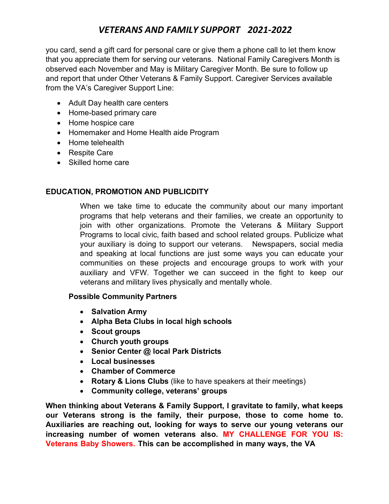you card, send a gift card for personal care or give them a phone call to let them know that you appreciate them for serving our veterans. National Family Caregivers Month is observed each November and May is Military Caregiver Month. Be sure to follow up and report that under Other Veterans & Family Support. Caregiver Services available from the VA's Caregiver Support Line:

- Adult Day health care centers
- Home-based primary care
- Home hospice care
- Homemaker and Home Health aide Program
- Home telehealth
- Respite Care
- Skilled home care

#### **EDUCATION, PROMOTION AND PUBLICDITY**

When we take time to educate the community about our many important programs that help veterans and their families, we create an opportunity to join with other organizations. Promote the Veterans & Military Support Programs to local civic, faith based and school related groups. Publicize what your auxiliary is doing to support our veterans. Newspapers, social media and speaking at local functions are just some ways you can educate your communities on these projects and encourage groups to work with your auxiliary and VFW. Together we can succeed in the fight to keep our veterans and military lives physically and mentally whole.

#### **Possible Community Partners**

- **Salvation Army**
- **Alpha Beta Clubs in local high schools**
- **Scout groups**
- **Church youth groups**
- **Senior Center @ local Park Districts**
- **Local businesses**
- **Chamber of Commerce**
- **Rotary & Lions Clubs** (like to have speakers at their meetings)
- **Community college, veterans' groups**

**When thinking about Veterans & Family Support, I gravitate to family, what keeps our Veterans strong is the family, their purpose, those to come home to. Auxiliaries are reaching out, looking for ways to serve our young veterans our increasing number of women veterans also. MY CHALLENGE FOR YOU IS: Veterans Baby Showers. This can be accomplished in many ways, the VA**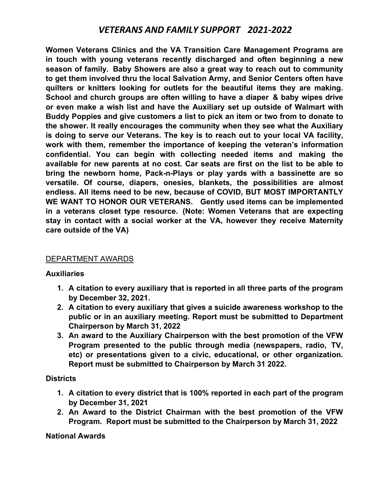**Women Veterans Clinics and the VA Transition Care Management Programs are in touch with young veterans recently discharged and often beginning a new season of family. Baby Showers are also a great way to reach out to community to get them involved thru the local Salvation Army, and Senior Centers often have quilters or knitters looking for outlets for the beautiful items they are making. School and church groups are often willing to have a diaper & baby wipes drive or even make a wish list and have the Auxiliary set up outside of Walmart with Buddy Poppies and give customers a list to pick an item or two from to donate to the shower. It really encourages the community when they see what the Auxiliary is doing to serve our Veterans. The key is to reach out to your local VA facility, work with them, remember the importance of keeping the veteran's information confidential. You can begin with collecting needed items and making the available for new parents at no cost. Car seats are first on the list to be able to bring the newborn home, Pack-n-Plays or play yards with a bassinette are so versatile. Of course, diapers, onesies, blankets, the possibilities are almost endless. All items need to be new, because of COVID, BUT MOST IMPORTANTLY WE WANT TO HONOR OUR VETERANS. Gently used items can be implemented in a veterans closet type resource. (Note: Women Veterans that are expecting stay in contact with a social worker at the VA, however they receive Maternity care outside of the VA)**

#### DEPARTMENT AWARDS

#### **Auxiliaries**

- **1. A citation to every auxiliary that is reported in all three parts of the program by December 32, 2021.**
- **2. A citation to every auxiliary that gives a suicide awareness workshop to the public or in an auxiliary meeting. Report must be submitted to Department Chairperson by March 31, 2022**
- **3. An award to the Auxiliary Chairperson with the best promotion of the VFW Program presented to the public through media (newspapers, radio, TV, etc) or presentations given to a civic, educational, or other organization. Report must be submitted to Chairperson by March 31 2022.**

#### **Districts**

- **1. A citation to every district that is 100% reported in each part of the program by December 31, 2021**
- **2. An Award to the District Chairman with the best promotion of the VFW Program. Report must be submitted to the Chairperson by March 31, 2022**

#### **National Awards**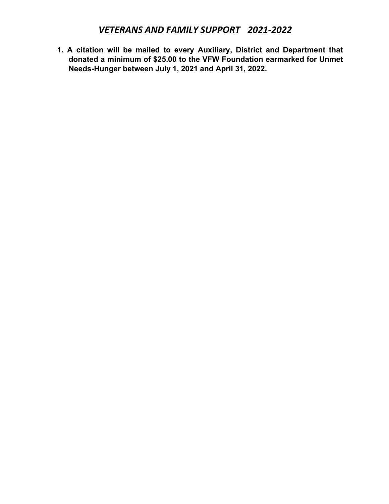**1. A citation will be mailed to every Auxiliary, District and Department that donated a minimum of \$25.00 to the VFW Foundation earmarked for Unmet Needs-Hunger between July 1, 2021 and April 31, 2022.**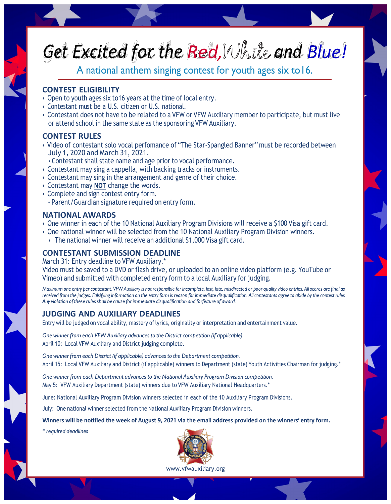# *Excited for the Red,White and Blue! Get*

A national anthem singing contest for youth ages six to16.

#### **CONTEST ELIGIBILITY**

- Open to youth ages six to16 years at the time of local entry.
- Contestant must be a U.S. citizen or U.S. national.
- Contestant does not have to be related to a VFW or VFW Auxiliary member to participate, but must live or attend school in the same state as the sponsoring VFW Auxiliary.

#### **CONTEST RULES**

- Video of contestant solo vocal perfomance of "The Star-Spangled Banner" must be recorded between July 1, 2020 and March 31, 2021.
- Contestant shall state name and age prior to vocal performance.
- Contestant may sing a cappella, with backing tracks or instruments.
- Contestant may sing in the arrangement and genre of their choice.
- Contestant may **NOT** change the words.
- Complete and sign contest entry form.
- Parent/Guardian signature required on entry form.

#### **NATIONAL AWARDS**

- One winner in each of the 10 National Auxiliary Program Divisions will receive a \$100 Visa gift card.
- One national winner will be selected from the 10 National Auxiliary Program Division winners. • The national winner will receive an additional \$1,000 Visa gift card.

### **CONTESTANT SUBMISSION DEADLINE**

March 31: Entry deadline to VFW Auxiliary.\*

Video must be saved to a DVD or flash drive, or uploaded to an online video platform (e.g. YouTube or Vimeo) and submitted with completed entry form to a local Auxiliary for judging.

Maximum one entry per contestant. VFW Auxiliary is not responsible for incomplete, lost, late, misdirected or poor quality video entries. All scores are final as received from the judges. Falsifying information on the entry form is reason for immediate disqualification. All contestants agree to abide by the contest rules *Anyviolation of these rulesshall be cause for immediate disqualification and forfeiture of award.*

### **JUDGING AND AUXILIARY DEADLINES**

Entry will be judged on vocal ability, mastery of lyrics, originality or interpretation and entertainment value.

*One winner from each VFW Auxiliary advances to the Districtcompetition (if applicable).* April 10: Local VFW Auxiliary and District judging complete.

*One winner from each District (if applicable) advances to the Departmentcompetition.* April 15: Local VFW Auxiliary and District (if applicable) winners to Department (state) Youth Activities Chairman for judging.\*

*One winner from each Department advances to the National Auxiliary Program Division competition.* May 5: VFW Auxiliary Department (state) winners due to VFW Auxiliary National Headquarters.\*

June: National Auxiliary Program Division winners selected in each of the 10 Auxiliary Program Divisions.

July: One national winner selected from the National Auxiliary Program Division winners.

**Winners will be notified the week of August 9, 2021 via the email address provided on the winners' entry form.**

*\* required deadlines*